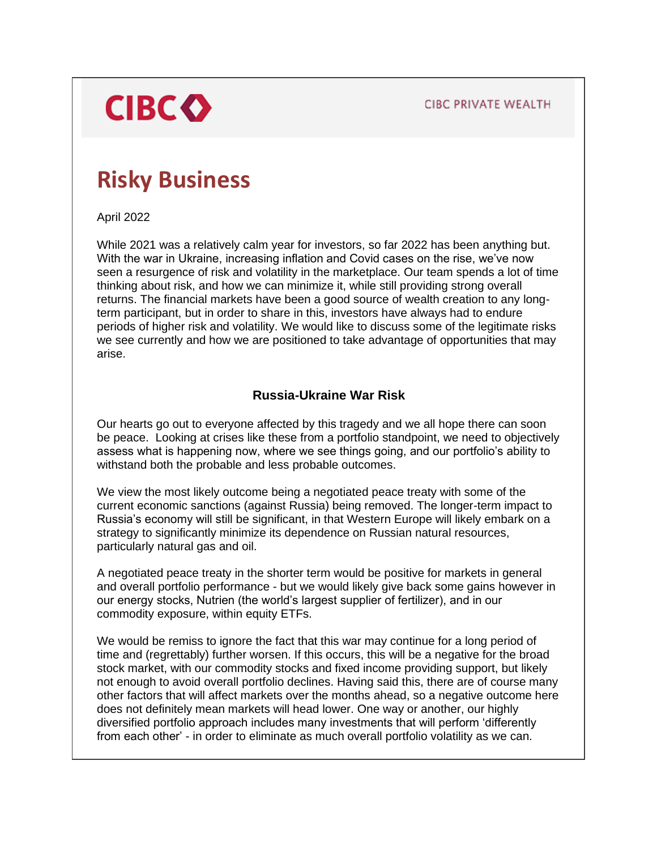**CIBC PRIVATE WEALTH** 

# **CIBC**

## **Risky Business**

April 2022

While 2021 was a relatively calm year for investors, so far 2022 has been anything but. With the war in Ukraine, increasing inflation and Covid cases on the rise, we've now seen a resurgence of risk and volatility in the marketplace. Our team spends a lot of time thinking about risk, and how we can minimize it, while still providing strong overall returns. The financial markets have been a good source of wealth creation to any longterm participant, but in order to share in this, investors have always had to endure periods of higher risk and volatility. We would like to discuss some of the legitimate risks we see currently and how we are positioned to take advantage of opportunities that may arise.

### **Russia-Ukraine War Risk**

Our hearts go out to everyone affected by this tragedy and we all hope there can soon be peace. Looking at crises like these from a portfolio standpoint, we need to objectively assess what is happening now, where we see things going, and our portfolio's ability to withstand both the probable and less probable outcomes.

We view the most likely outcome being a negotiated peace treaty with some of the current economic sanctions (against Russia) being removed. The longer-term impact to Russia's economy will still be significant, in that Western Europe will likely embark on a strategy to significantly minimize its dependence on Russian natural resources, particularly natural gas and oil.

A negotiated peace treaty in the shorter term would be positive for markets in general and overall portfolio performance - but we would likely give back some gains however in our energy stocks, Nutrien (the world's largest supplier of fertilizer), and in our commodity exposure, within equity ETFs.

We would be remiss to ignore the fact that this war may continue for a long period of time and (regrettably) further worsen. If this occurs, this will be a negative for the broad stock market, with our commodity stocks and fixed income providing support, but likely not enough to avoid overall portfolio declines. Having said this, there are of course many other factors that will affect markets over the months ahead, so a negative outcome here does not definitely mean markets will head lower. One way or another, our highly diversified portfolio approach includes many investments that will perform 'differently from each other' - in order to eliminate as much overall portfolio volatility as we can.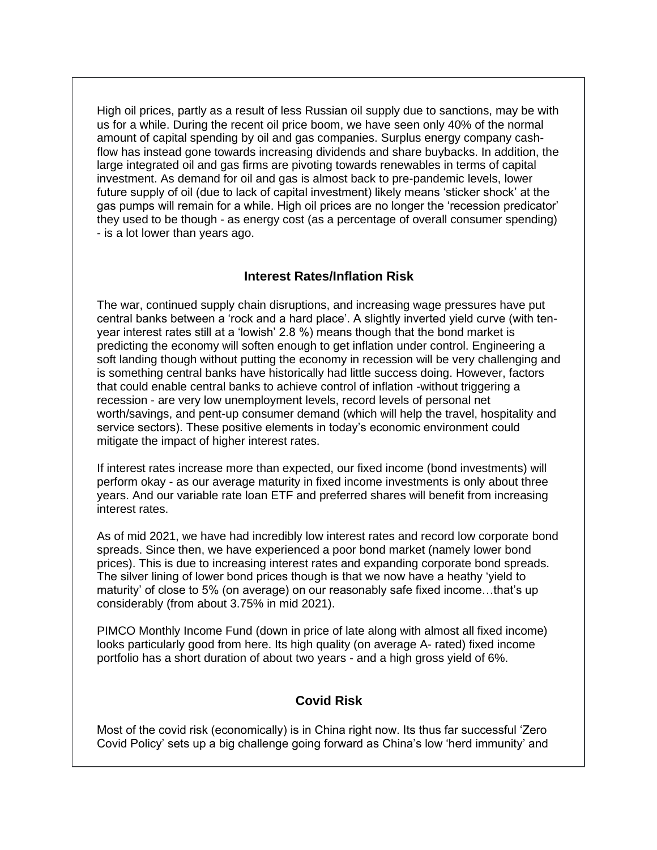High oil prices, partly as a result of less Russian oil supply due to sanctions, may be with us for a while. During the recent oil price boom, we have seen only 40% of the normal amount of capital spending by oil and gas companies. Surplus energy company cashflow has instead gone towards increasing dividends and share buybacks. In addition, the large integrated oil and gas firms are pivoting towards renewables in terms of capital investment. As demand for oil and gas is almost back to pre-pandemic levels, lower future supply of oil (due to lack of capital investment) likely means 'sticker shock' at the gas pumps will remain for a while. High oil prices are no longer the 'recession predicator' they used to be though - as energy cost (as a percentage of overall consumer spending) - is a lot lower than years ago.

### **Interest Rates/Inflation Risk**

The war, continued supply chain disruptions, and increasing wage pressures have put central banks between a 'rock and a hard place'. A slightly inverted yield curve (with tenyear interest rates still at a 'lowish' 2.8 %) means though that the bond market is predicting the economy will soften enough to get inflation under control. Engineering a soft landing though without putting the economy in recession will be very challenging and is something central banks have historically had little success doing. However, factors that could enable central banks to achieve control of inflation -without triggering a recession - are very low unemployment levels, record levels of personal net worth/savings, and pent-up consumer demand (which will help the travel, hospitality and service sectors). These positive elements in today's economic environment could mitigate the impact of higher interest rates.

If interest rates increase more than expected, our fixed income (bond investments) will perform okay - as our average maturity in fixed income investments is only about three years. And our variable rate loan ETF and preferred shares will benefit from increasing interest rates.

As of mid 2021, we have had incredibly low interest rates and record low corporate bond spreads. Since then, we have experienced a poor bond market (namely lower bond prices). This is due to increasing interest rates and expanding corporate bond spreads. The silver lining of lower bond prices though is that we now have a heathy 'yield to maturity' of close to 5% (on average) on our reasonably safe fixed income…that's up considerably (from about 3.75% in mid 2021).

PIMCO Monthly Income Fund (down in price of late along with almost all fixed income) looks particularly good from here. Its high quality (on average A- rated) fixed income portfolio has a short duration of about two years - and a high gross yield of 6%.

### **Covid Risk**

Most of the covid risk (economically) is in China right now. Its thus far successful 'Zero Covid Policy' sets up a big challenge going forward as China's low 'herd immunity' and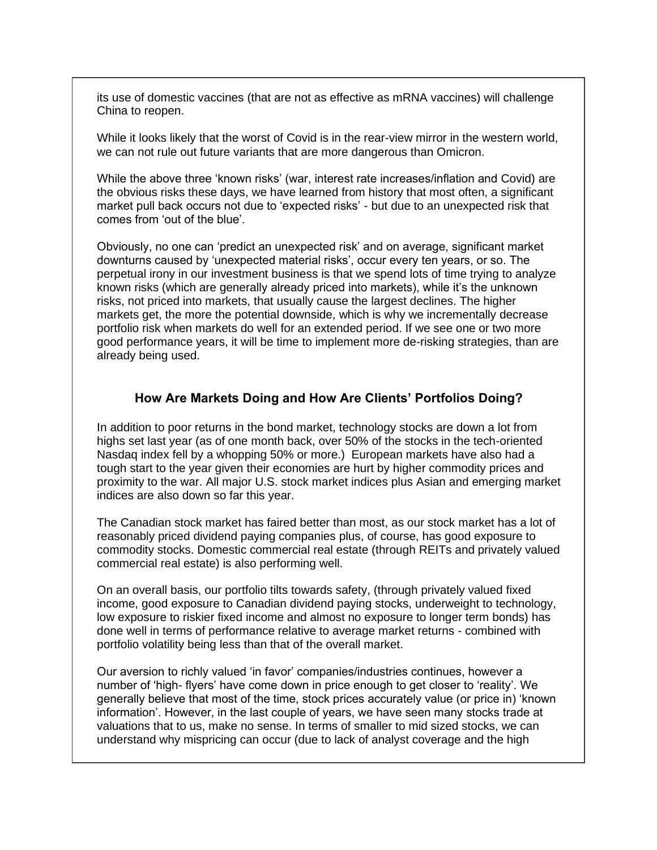its use of domestic vaccines (that are not as effective as mRNA vaccines) will challenge China to reopen.

While it looks likely that the worst of Covid is in the rear-view mirror in the western world, we can not rule out future variants that are more dangerous than Omicron.

While the above three 'known risks' (war, interest rate increases/inflation and Covid) are the obvious risks these days, we have learned from history that most often, a significant market pull back occurs not due to 'expected risks' - but due to an unexpected risk that comes from 'out of the blue'.

Obviously, no one can 'predict an unexpected risk' and on average, significant market downturns caused by 'unexpected material risks', occur every ten years, or so. The perpetual irony in our investment business is that we spend lots of time trying to analyze known risks (which are generally already priced into markets), while it's the unknown risks, not priced into markets, that usually cause the largest declines. The higher markets get, the more the potential downside, which is why we incrementally decrease portfolio risk when markets do well for an extended period. If we see one or two more good performance years, it will be time to implement more de-risking strategies, than are already being used.

#### **How Are Markets Doing and How Are Clients' Portfolios Doing?**

In addition to poor returns in the bond market, technology stocks are down a lot from highs set last year (as of one month back, over 50% of the stocks in the tech-oriented Nasdaq index fell by a whopping 50% or more.) European markets have also had a tough start to the year given their economies are hurt by higher commodity prices and proximity to the war. All major U.S. stock market indices plus Asian and emerging market indices are also down so far this year.

The Canadian stock market has faired better than most, as our stock market has a lot of reasonably priced dividend paying companies plus, of course, has good exposure to commodity stocks. Domestic commercial real estate (through REITs and privately valued commercial real estate) is also performing well.

On an overall basis, our portfolio tilts towards safety, (through privately valued fixed income, good exposure to Canadian dividend paying stocks, underweight to technology, low exposure to riskier fixed income and almost no exposure to longer term bonds) has done well in terms of performance relative to average market returns - combined with portfolio volatility being less than that of the overall market.

Our aversion to richly valued 'in favor' companies/industries continues, however a number of 'high- flyers' have come down in price enough to get closer to 'reality'. We generally believe that most of the time, stock prices accurately value (or price in) 'known information'. However, in the last couple of years, we have seen many stocks trade at valuations that to us, make no sense. In terms of smaller to mid sized stocks, we can understand why mispricing can occur (due to lack of analyst coverage and the high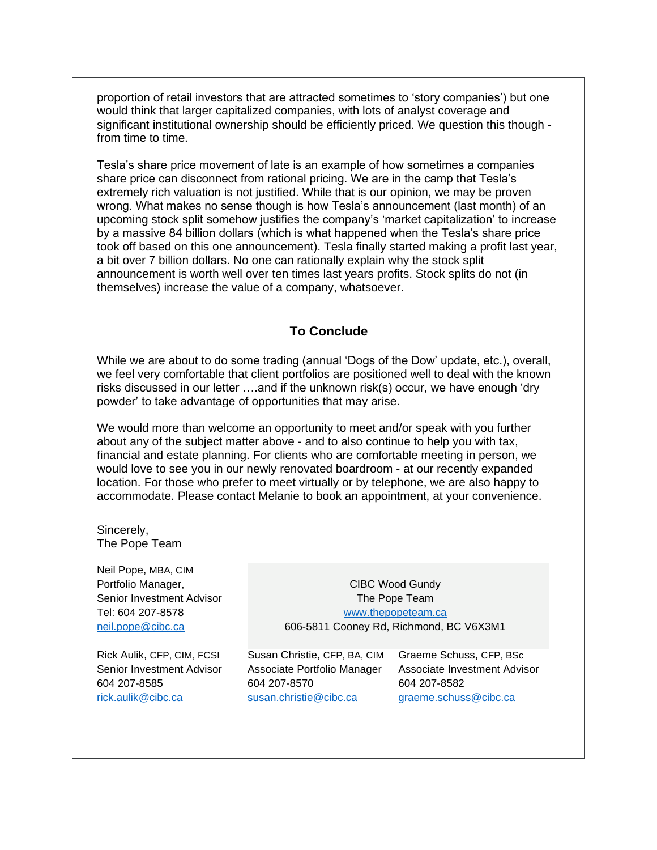proportion of retail investors that are attracted sometimes to 'story companies') but one would think that larger capitalized companies, with lots of analyst coverage and significant institutional ownership should be efficiently priced. We question this though from time to time.

Tesla's share price movement of late is an example of how sometimes a companies share price can disconnect from rational pricing. We are in the camp that Tesla's extremely rich valuation is not justified. While that is our opinion, we may be proven wrong. What makes no sense though is how Tesla's announcement (last month) of an upcoming stock split somehow justifies the company's 'market capitalization' to increase by a massive 84 billion dollars (which is what happened when the Tesla's share price took off based on this one announcement). Tesla finally started making a profit last year, a bit over 7 billion dollars. No one can rationally explain why the stock split announcement is worth well over ten times last years profits. Stock splits do not (in themselves) increase the value of a company, whatsoever.

### **To Conclude**

While we are about to do some trading (annual 'Dogs of the Dow' update, etc.), overall, we feel very comfortable that client portfolios are positioned well to deal with the known risks discussed in our letter ….and if the unknown risk(s) occur, we have enough 'dry powder' to take advantage of opportunities that may arise.

We would more than welcome an opportunity to meet and/or speak with you further about any of the subject matter above - and to also continue to help you with tax, financial and estate planning. For clients who are comfortable meeting in person, we would love to see you in our newly renovated boardroom - at our recently expanded location. For those who prefer to meet virtually or by telephone, we are also happy to accommodate. Please contact Melanie to book an appointment, at your convenience.

Sincerely, The Pope Team

Neil Pope, MBA, CIM Portfolio Manager, Senior Investment Advisor Tel: 604 207-8578 [neil.pope@cibc.ca](mailto:neil.pope@cibc.ca)

Rick Aulik, CFP, CIM, FCSI Senior Investment Advisor 604 207-8585 [rick.aulik@cibc.ca](mailto:rick.aulik@cibc.ca)

CIBC Wood Gundy The Pope Team [www.thepopeteam.ca](http://www.thepopeteam.ca/) 606-5811 Cooney Rd, Richmond, BC V6X3M1

Susan Christie, CFP, BA, CIM Associate Portfolio Manager 604 207-8570 [susan.christie@cibc.ca](mailto:susan.christie@cibc.ca)

Graeme Schuss, CFP, BSc Associate Investment Advisor 604 207-8582 [graeme.schuss@cibc.ca](mailto:graeme.schuss@cibc.ca)